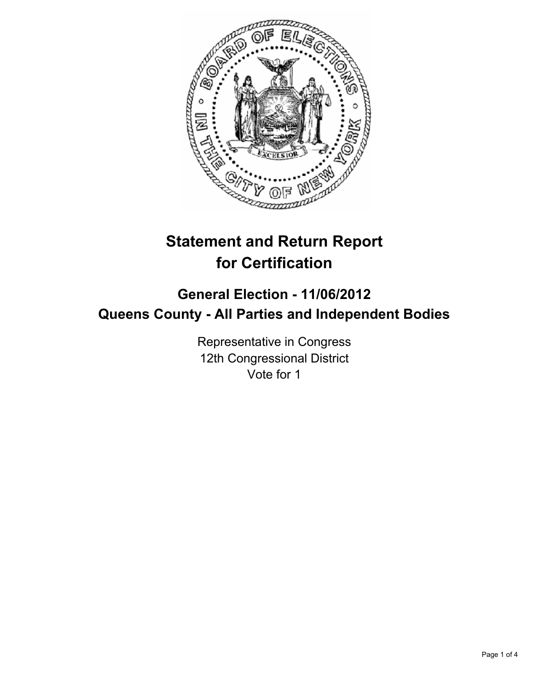

# **Statement and Return Report for Certification**

## **General Election - 11/06/2012 Queens County - All Parties and Independent Bodies**

Representative in Congress 12th Congressional District Vote for 1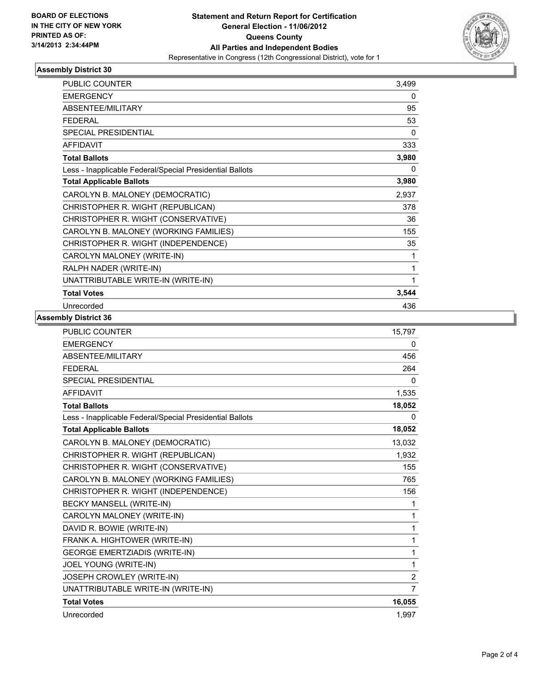

### **Assembly District 30**

| PUBLIC COUNTER                                           | 3,499    |
|----------------------------------------------------------|----------|
| <b>EMERGENCY</b>                                         | 0        |
| <b>ABSENTEE/MILITARY</b>                                 | 95       |
| <b>FEDERAL</b>                                           | 53       |
| <b>SPECIAL PRESIDENTIAL</b>                              | $\Omega$ |
| <b>AFFIDAVIT</b>                                         | 333      |
| <b>Total Ballots</b>                                     | 3,980    |
| Less - Inapplicable Federal/Special Presidential Ballots | 0        |
| <b>Total Applicable Ballots</b>                          | 3,980    |
| CAROLYN B. MALONEY (DEMOCRATIC)                          | 2,937    |
| CHRISTOPHER R. WIGHT (REPUBLICAN)                        | 378      |
| CHRISTOPHER R. WIGHT (CONSERVATIVE)                      | 36       |
| CAROLYN B. MALONEY (WORKING FAMILIES)                    | 155      |
| CHRISTOPHER R. WIGHT (INDEPENDENCE)                      | 35       |
| CAROLYN MALONEY (WRITE-IN)                               | 1        |
| RALPH NADER (WRITE-IN)                                   | 1        |
| UNATTRIBUTABLE WRITE-IN (WRITE-IN)                       | 1        |
| <b>Total Votes</b>                                       | 3,544    |
| Unrecorded                                               | 436      |

#### **Assembly District 36**

| <b>PUBLIC COUNTER</b>                                    | 15,797         |
|----------------------------------------------------------|----------------|
| <b>EMERGENCY</b>                                         | 0              |
| ABSENTEE/MILITARY                                        | 456            |
| <b>FEDERAL</b>                                           | 264            |
| <b>SPECIAL PRESIDENTIAL</b>                              | 0              |
| <b>AFFIDAVIT</b>                                         | 1,535          |
| <b>Total Ballots</b>                                     | 18,052         |
| Less - Inapplicable Federal/Special Presidential Ballots | 0              |
| <b>Total Applicable Ballots</b>                          | 18,052         |
| CAROLYN B. MALONEY (DEMOCRATIC)                          | 13,032         |
| CHRISTOPHER R. WIGHT (REPUBLICAN)                        | 1,932          |
| CHRISTOPHER R. WIGHT (CONSERVATIVE)                      | 155            |
| CAROLYN B. MALONEY (WORKING FAMILIES)                    | 765            |
| CHRISTOPHER R. WIGHT (INDEPENDENCE)                      | 156            |
| BECKY MANSELL (WRITE-IN)                                 | 1              |
| CAROLYN MALONEY (WRITE-IN)                               | 1              |
| DAVID R. BOWIE (WRITE-IN)                                | $\mathbf{1}$   |
| FRANK A. HIGHTOWER (WRITE-IN)                            | $\mathbf{1}$   |
| <b>GEORGE EMERTZIADIS (WRITE-IN)</b>                     | $\mathbf{1}$   |
| JOEL YOUNG (WRITE-IN)                                    | 1              |
| JOSEPH CROWLEY (WRITE-IN)                                | $\overline{2}$ |
| UNATTRIBUTABLE WRITE-IN (WRITE-IN)                       | $\overline{7}$ |
| <b>Total Votes</b>                                       | 16,055         |
| Unrecorded                                               | 1,997          |
|                                                          |                |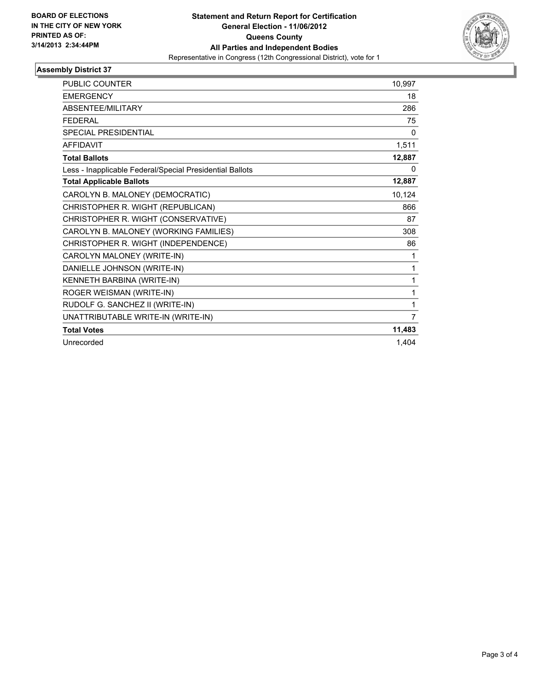

#### **Assembly District 37**

| <b>PUBLIC COUNTER</b>                                    | 10,997 |
|----------------------------------------------------------|--------|
| <b>EMERGENCY</b>                                         | 18     |
| ABSENTEE/MILITARY                                        | 286    |
| <b>FFDFRAL</b>                                           | 75     |
| <b>SPECIAL PRESIDENTIAL</b>                              | 0      |
| <b>AFFIDAVIT</b>                                         | 1,511  |
| <b>Total Ballots</b>                                     | 12,887 |
| Less - Inapplicable Federal/Special Presidential Ballots | 0      |
| <b>Total Applicable Ballots</b>                          | 12,887 |
| CAROLYN B. MALONEY (DEMOCRATIC)                          | 10,124 |
| CHRISTOPHER R. WIGHT (REPUBLICAN)                        | 866    |
| CHRISTOPHER R. WIGHT (CONSERVATIVE)                      | 87     |
| CAROLYN B. MALONEY (WORKING FAMILIES)                    | 308    |
| CHRISTOPHER R. WIGHT (INDEPENDENCE)                      | 86     |
| CAROLYN MALONEY (WRITE-IN)                               | 1      |
| DANIELLE JOHNSON (WRITE-IN)                              | 1      |
| KENNETH BARBINA (WRITE-IN)                               | 1      |
| ROGER WEISMAN (WRITE-IN)                                 | 1      |
| RUDOLF G. SANCHEZ II (WRITE-IN)                          | 1      |
| UNATTRIBUTABLE WRITE-IN (WRITE-IN)                       | 7      |
| <b>Total Votes</b>                                       | 11,483 |
| Unrecorded                                               | 1.404  |